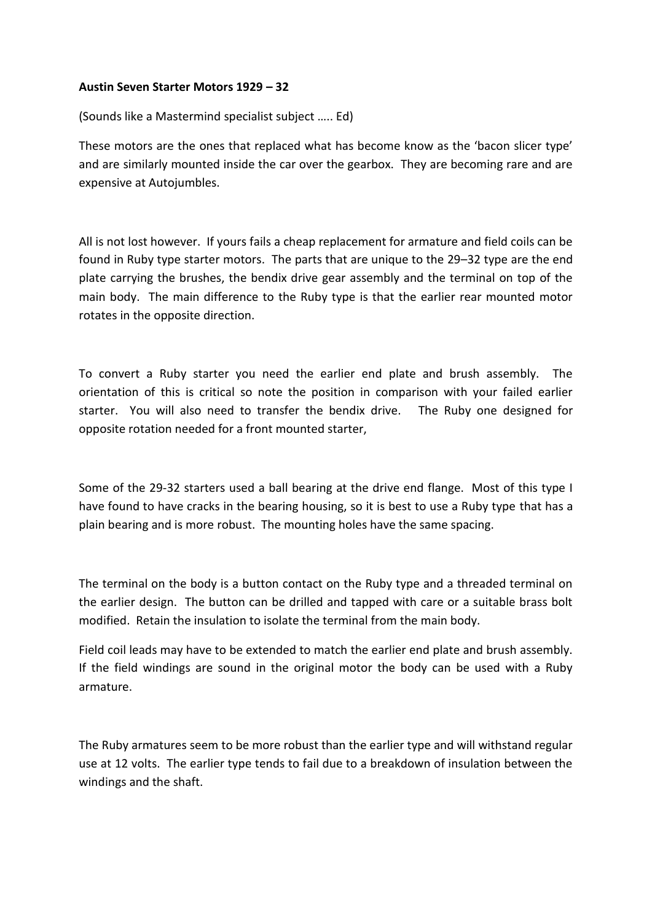## **Austin Seven Starter Motors 1929 – 32**

(Sounds like a Mastermind specialist subject ….. Ed)

These motors are the ones that replaced what has become know as the 'bacon slicer type' and are similarly mounted inside the car over the gearbox. They are becoming rare and are expensive at Autojumbles.

All is not lost however. If yours fails a cheap replacement for armature and field coils can be found in Ruby type starter motors. The parts that are unique to the 29–32 type are the end plate carrying the brushes, the bendix drive gear assembly and the terminal on top of the main body. The main difference to the Ruby type is that the earlier rear mounted motor rotates in the opposite direction.

To convert a Ruby starter you need the earlier end plate and brush assembly. The orientation of this is critical so note the position in comparison with your failed earlier starter. You will also need to transfer the bendix drive. The Ruby one designed for opposite rotation needed for a front mounted starter,

Some of the 29-32 starters used a ball bearing at the drive end flange. Most of this type I have found to have cracks in the bearing housing, so it is best to use a Ruby type that has a plain bearing and is more robust. The mounting holes have the same spacing.

The terminal on the body is a button contact on the Ruby type and a threaded terminal on the earlier design. The button can be drilled and tapped with care or a suitable brass bolt modified. Retain the insulation to isolate the terminal from the main body.

Field coil leads may have to be extended to match the earlier end plate and brush assembly. If the field windings are sound in the original motor the body can be used with a Ruby armature.

The Ruby armatures seem to be more robust than the earlier type and will withstand regular use at 12 volts. The earlier type tends to fail due to a breakdown of insulation between the windings and the shaft.